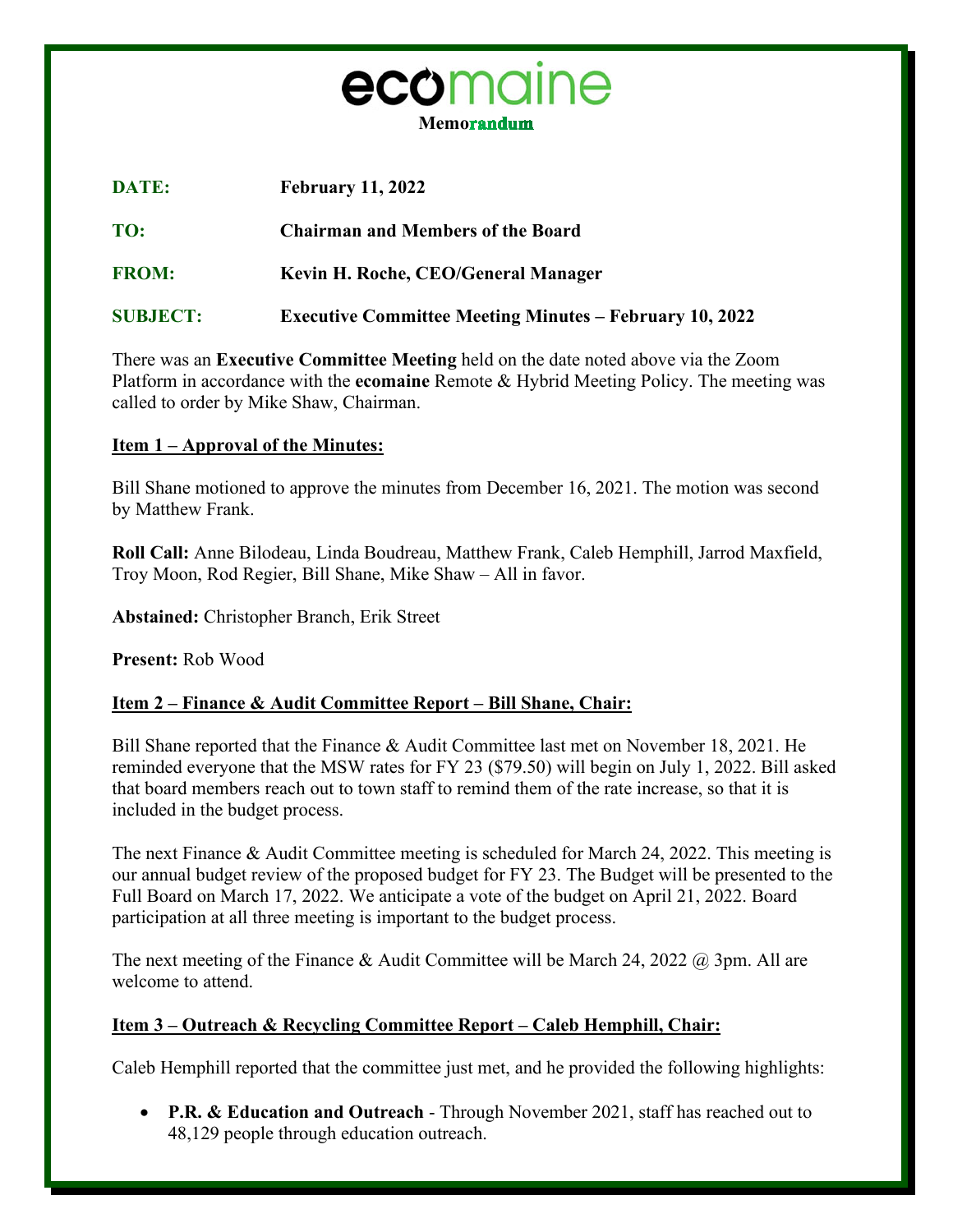

| <b>DATE:</b>    | <b>February 11, 2022</b>                                       |
|-----------------|----------------------------------------------------------------|
| TO:             | <b>Chairman and Members of the Board</b>                       |
| <b>FROM:</b>    | Kevin H. Roche, CEO/General Manager                            |
| <b>SUBJECT:</b> | <b>Executive Committee Meeting Minutes – February 10, 2022</b> |

There was an **Executive Committee Meeting** held on the date noted above via the Zoom Platform in accordance with the **ecomaine** Remote & Hybrid Meeting Policy. The meeting was called to order by Mike Shaw, Chairman.

## **Item 1 – Approval of the Minutes:**

Bill Shane motioned to approve the minutes from December 16, 2021. The motion was second by Matthew Frank.

**Roll Call:** Anne Bilodeau, Linda Boudreau, Matthew Frank, Caleb Hemphill, Jarrod Maxfield, Troy Moon, Rod Regier, Bill Shane, Mike Shaw – All in favor.

**Abstained:** Christopher Branch, Erik Street

**Present:** Rob Wood

# **Item 2 – Finance & Audit Committee Report – Bill Shane, Chair:**

Bill Shane reported that the Finance & Audit Committee last met on November 18, 2021. He reminded everyone that the MSW rates for FY 23 (\$79.50) will begin on July 1, 2022. Bill asked that board members reach out to town staff to remind them of the rate increase, so that it is included in the budget process.

The next Finance & Audit Committee meeting is scheduled for March 24, 2022. This meeting is our annual budget review of the proposed budget for FY 23. The Budget will be presented to the Full Board on March 17, 2022. We anticipate a vote of the budget on April 21, 2022. Board participation at all three meeting is important to the budget process.

The next meeting of the Finance & Audit Committee will be March 24, 2022  $\omega$  3pm. All are welcome to attend.

# **Item 3 – Outreach & Recycling Committee Report – Caleb Hemphill, Chair:**

Caleb Hemphill reported that the committee just met, and he provided the following highlights:

• **P.R. & Education and Outreach** - Through November 2021, staff has reached out to 48,129 people through education outreach.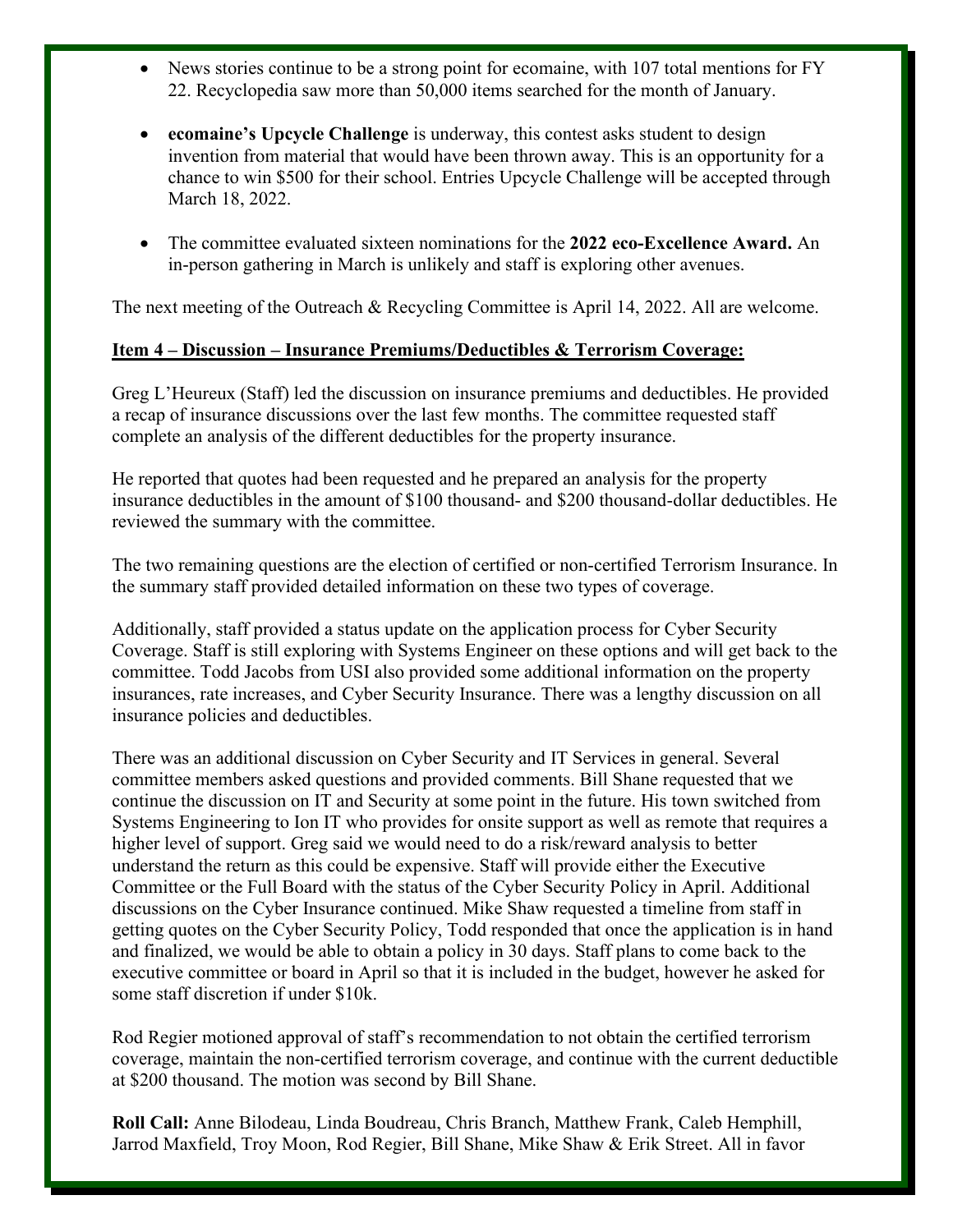- News stories continue to be a strong point for ecomaine, with 107 total mentions for FY 22. Recyclopedia saw more than 50,000 items searched for the month of January.
- **ecomaine's Upcycle Challenge** is underway, this contest asks student to design invention from material that would have been thrown away. This is an opportunity for a chance to win \$500 for their school. Entries Upcycle Challenge will be accepted through March 18, 2022.
- The committee evaluated sixteen nominations for the **2022 eco-Excellence Award.** An in-person gathering in March is unlikely and staff is exploring other avenues.

The next meeting of the Outreach & Recycling Committee is April 14, 2022. All are welcome.

## **Item 4 – Discussion – Insurance Premiums/Deductibles & Terrorism Coverage:**

Greg L'Heureux (Staff) led the discussion on insurance premiums and deductibles. He provided a recap of insurance discussions over the last few months. The committee requested staff complete an analysis of the different deductibles for the property insurance.

He reported that quotes had been requested and he prepared an analysis for the property insurance deductibles in the amount of \$100 thousand- and \$200 thousand-dollar deductibles. He reviewed the summary with the committee.

The two remaining questions are the election of certified or non-certified Terrorism Insurance. In the summary staff provided detailed information on these two types of coverage.

Additionally, staff provided a status update on the application process for Cyber Security Coverage. Staff is still exploring with Systems Engineer on these options and will get back to the committee. Todd Jacobs from USI also provided some additional information on the property insurances, rate increases, and Cyber Security Insurance. There was a lengthy discussion on all insurance policies and deductibles.

There was an additional discussion on Cyber Security and IT Services in general. Several committee members asked questions and provided comments. Bill Shane requested that we continue the discussion on IT and Security at some point in the future. His town switched from Systems Engineering to Ion IT who provides for onsite support as well as remote that requires a higher level of support. Greg said we would need to do a risk/reward analysis to better understand the return as this could be expensive. Staff will provide either the Executive Committee or the Full Board with the status of the Cyber Security Policy in April. Additional discussions on the Cyber Insurance continued. Mike Shaw requested a timeline from staff in getting quotes on the Cyber Security Policy, Todd responded that once the application is in hand and finalized, we would be able to obtain a policy in 30 days. Staff plans to come back to the executive committee or board in April so that it is included in the budget, however he asked for some staff discretion if under \$10k.

Rod Regier motioned approval of staff's recommendation to not obtain the certified terrorism coverage, maintain the non-certified terrorism coverage, and continue with the current deductible at \$200 thousand. The motion was second by Bill Shane.

**Roll Call:** Anne Bilodeau, Linda Boudreau, Chris Branch, Matthew Frank, Caleb Hemphill, Jarrod Maxfield, Troy Moon, Rod Regier, Bill Shane, Mike Shaw & Erik Street. All in favor